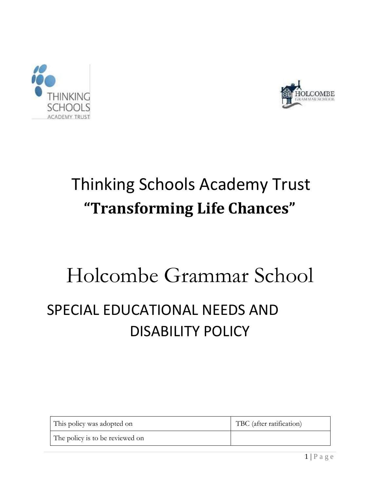



# Thinking Schools Academy Trust **"Transforming Life Chances"**

# Holcombe Grammar School SPECIAL EDUCATIONAL NEEDS AND DISABILITY POLICY

| This policy was adopted on      | TBC (after ratification) |
|---------------------------------|--------------------------|
| The policy is to be reviewed on |                          |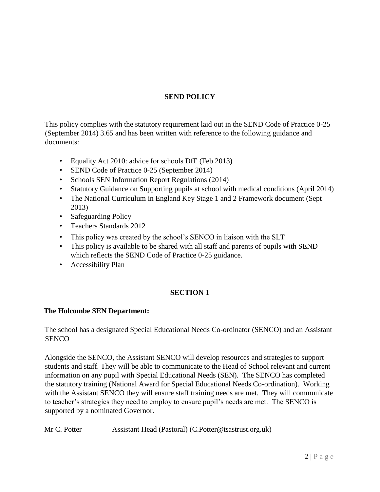# **SEND POLICY**

This policy complies with the statutory requirement laid out in the SEND Code of Practice 0-25 (September 2014) 3.65 and has been written with reference to the following guidance and documents:

- Equality Act 2010: advice for schools DfE (Feb 2013)
- SEND Code of Practice 0-25 (September 2014)
- Schools SEN Information Report Regulations (2014)
- Statutory Guidance on Supporting pupils at school with medical conditions (April 2014)
- The National Curriculum in England Key Stage 1 and 2 Framework document (Sept 2013)
- Safeguarding Policy
- Teachers Standards 2012
- This policy was created by the school's SENCO in liaison with the SLT
- This policy is available to be shared with all staff and parents of pupils with SEND which reflects the SEND Code of Practice 0-25 guidance.
- Accessibility Plan

# **SECTION 1**

# **The Holcombe SEN Department:**

The school has a designated Special Educational Needs Co-ordinator (SENCO) and an Assistant **SENCO** 

Alongside the SENCO, the Assistant SENCO will develop resources and strategies to support students and staff. They will be able to communicate to the Head of School relevant and current information on any pupil with Special Educational Needs (SEN). The SENCO has completed the statutory training (National Award for Special Educational Needs Co-ordination). Working with the Assistant SENCO they will ensure staff training needs are met. They will communicate to teacher's strategies they need to employ to ensure pupil's needs are met. The SENCO is supported by a nominated Governor.

Mr C. Potter Assistant Head (Pastoral) (C.Potter@tsastrust.org.uk)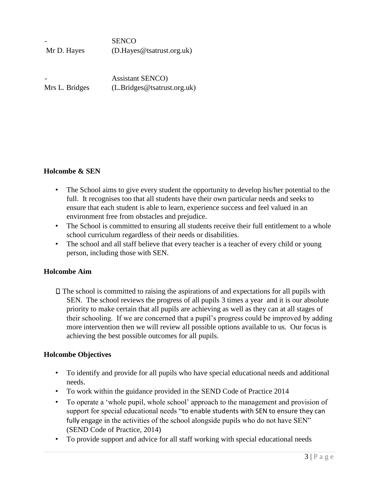| -           | <b>SENCO</b>               |
|-------------|----------------------------|
| Mr D. Hayes | (D. Hayes@tsatrust.org.uk) |
|             |                            |

- Assistant SENCO) Mrs L. Bridges (L. Bridges@tsatrust.org.uk)

#### **Holcombe & SEN**

- The School aims to give every student the opportunity to develop his/her potential to the full. It recognises too that all students have their own particular needs and seeks to ensure that each student is able to learn, experience success and feel valued in an environment free from obstacles and prejudice.
- The School is committed to ensuring all students receive their full entitlement to a whole school curriculum regardless of their needs or disabilities.
- The school and all staff believe that every teacher is a teacher of every child or young person, including those with SEN.

#### **Holcombe Aim**

 $\Box$  The school is committed to raising the aspirations of and expectations for all pupils with SEN. The school reviews the progress of all pupils 3 times a year and it is our absolute priority to make certain that all pupils are achieving as well as they can at all stages of their schooling. If we are concerned that a pupil's progress could be improved by adding more intervention then we will review all possible options available to us. Our focus is achieving the best possible outcomes for all pupils.

#### **Holcombe Objectives**

- To identify and provide for all pupils who have special educational needs and additional needs.
- To work within the guidance provided in the SEND Code of Practice 2014
- To operate a 'whole pupil, whole school' approach to the management and provision of support for special educational needs "to enable students with SEN to ensure they can fully engage in the activities of the school alongside pupils who do not have SEN" (SEND Code of Practice, 2014)
- To provide support and advice for all staff working with special educational needs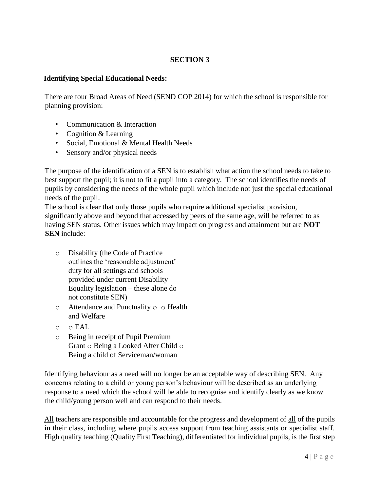## **Identifying Special Educational Needs:**

There are four Broad Areas of Need (SEND COP 2014) for which the school is responsible for planning provision:

- Communication & Interaction
- Cognition & Learning
- Social, Emotional & Mental Health Needs
- Sensory and/or physical needs

The purpose of the identification of a SEN is to establish what action the school needs to take to best support the pupil; it is not to fit a pupil into a category. The school identifies the needs of pupils by considering the needs of the whole pupil which include not just the special educational needs of the pupil.

The school is clear that only those pupils who require additional specialist provision, significantly above and beyond that accessed by peers of the same age, will be referred to as having SEN status. Other issues which may impact on progress and attainment but are **NOT SEN** include:

- o Disability (the Code of Practice outlines the 'reasonable adjustment' duty for all settings and schools provided under current Disability Equality legislation – these alone do not constitute SEN)
- o Attendance and Punctuality o o Health and Welfare
- o o EAL
- o Being in receipt of Pupil Premium Grant o Being a Looked After Child o Being a child of Serviceman/woman

Identifying behaviour as a need will no longer be an acceptable way of describing SEN. Any concerns relating to a child or young person's behaviour will be described as an underlying response to a need which the school will be able to recognise and identify clearly as we know the child/young person well and can respond to their needs.

All teachers are responsible and accountable for the progress and development of all of the pupils in their class, including where pupils access support from teaching assistants or specialist staff. High quality teaching (Quality First Teaching), differentiated for individual pupils, is the first step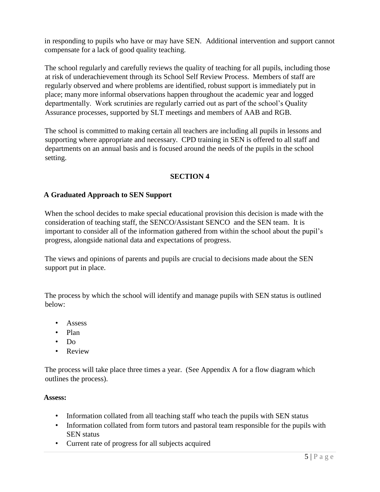in responding to pupils who have or may have SEN. Additional intervention and support cannot compensate for a lack of good quality teaching.

The school regularly and carefully reviews the quality of teaching for all pupils, including those at risk of underachievement through its School Self Review Process. Members of staff are regularly observed and where problems are identified, robust support is immediately put in place; many more informal observations happen throughout the academic year and logged departmentally. Work scrutinies are regularly carried out as part of the school's Quality Assurance processes, supported by SLT meetings and members of AAB and RGB.

The school is committed to making certain all teachers are including all pupils in lessons and supporting where appropriate and necessary. CPD training in SEN is offered to all staff and departments on an annual basis and is focused around the needs of the pupils in the school setting.

# **SECTION 4**

#### **A Graduated Approach to SEN Support**

When the school decides to make special educational provision this decision is made with the consideration of teaching staff, the SENCO/Assistant SENCO and the SEN team. It is important to consider all of the information gathered from within the school about the pupil's progress, alongside national data and expectations of progress.

The views and opinions of parents and pupils are crucial to decisions made about the SEN support put in place.

The process by which the school will identify and manage pupils with SEN status is outlined below:

- Assess
- Plan
- Do
- Review

The process will take place three times a year. (See Appendix A for a flow diagram which outlines the process).

#### **Assess:**

- Information collated from all teaching staff who teach the pupils with SEN status
- Information collated from form tutors and pastoral team responsible for the pupils with SEN status
- Current rate of progress for all subjects acquired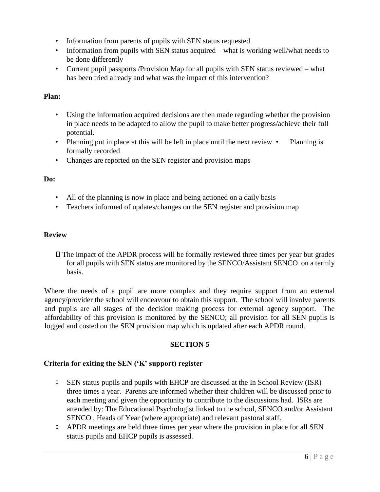- Information from parents of pupils with SEN status requested
- Information from pupils with SEN status acquired what is working well/what needs to be done differently
- Current pupil passports /Provision Map for all pupils with SEN status reviewed what has been tried already and what was the impact of this intervention?

#### **Plan:**

- Using the information acquired decisions are then made regarding whether the provision in place needs to be adapted to allow the pupil to make better progress/achieve their full potential.
- Planning put in place at this will be left in place until the next review Planning is formally recorded
- Changes are reported on the SEN register and provision maps

#### **Do:**

- All of the planning is now in place and being actioned on a daily basis
- Teachers informed of updates/changes on the SEN register and provision map

#### **Review**

 $\Box$  The impact of the APDR process will be formally reviewed three times per year but grades for all pupils with SEN status are monitored by the SENCO/Assistant SENCO on a termly basis.

Where the needs of a pupil are more complex and they require support from an external agency/provider the school will endeavour to obtain this support. The school will involve parents and pupils are all stages of the decision making process for external agency support. The affordability of this provision is monitored by the SENCO; all provision for all SEN pupils is logged and costed on the SEN provision map which is updated after each APDR round.

#### **SECTION 5**

#### **Criteria for exiting the SEN ('K' support) register**

- $\Box$  SEN status pupils and pupils with EHCP are discussed at the In School Review (ISR) three times a year. Parents are informed whether their children will be discussed prior to each meeting and given the opportunity to contribute to the discussions had. ISRs are attended by: The Educational Psychologist linked to the school, SENCO and/or Assistant SENCO , Heads of Year (where appropriate) and relevant pastoral staff.
- **EXECUTE:** APDR meetings are held three times per year where the provision in place for all SEN status pupils and EHCP pupils is assessed.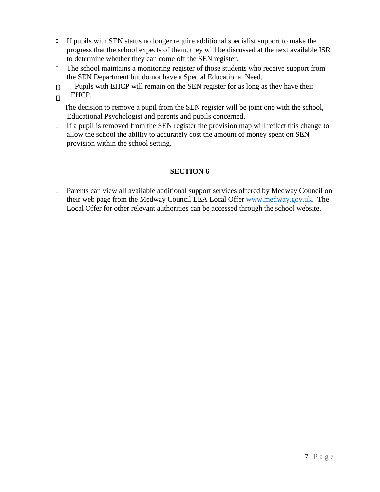- $\Box$  If pupils with SEN status no longer require additional specialist support to make the progress that the school expects of them, they will be discussed at the next available ISR to determine whether they can come off the SEN register.
- $\Box$  The school maintains a monitoring register of those students who receive support from the SEN Department but do not have a Special Educational Need.
- Pupils with EHCP will remain on the SEN register for as long as they have their  $\Box$
- EHCP.  $\Box$

The decision to remove a pupil from the SEN register will be joint one with the school, Educational Psychologist and parents and pupils concerned.

 $\Box$  If a pupil is removed from the SEN register the provision map will reflect this change to allow the school the ability to accurately cost the amount of money spent on SEN provision within the school setting.

# **SECTION 6**

**Parents can view all available additional support services offered by Medway Council on** their web page from the Medway Council LEA Local Offer [www.medway.gov.uk.](http://www.medway.gov.uk/) The Local Offer for other relevant authorities can be accessed through the school website.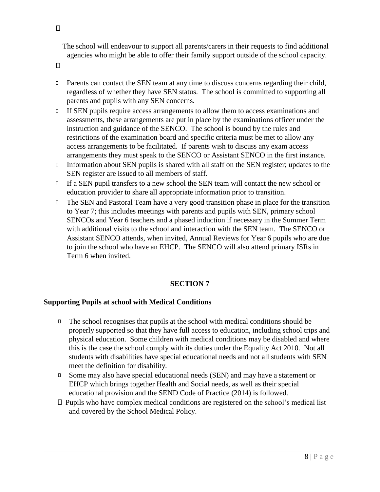The school will endeavour to support all parents/carers in their requests to find additional agencies who might be able to offer their family support outside of the school capacity.

 $\Box$ 

- $\Box$ Parents can contact the SEN team at any time to discuss concerns regarding their child, regardless of whether they have SEN status. The school is committed to supporting all parents and pupils with any SEN concerns.
- If SEN pupils require access arrangements to allow them to access examinations and  $\Box$ assessments, these arrangements are put in place by the examinations officer under the instruction and guidance of the SENCO. The school is bound by the rules and restrictions of the examination board and specific criteria must be met to allow any access arrangements to be facilitated. If parents wish to discuss any exam access arrangements they must speak to the SENCO or Assistant SENCO in the first instance.
- Information about SEN pupils is shared with all staff on the SEN register; updates to the SEN register are issued to all members of staff.
- $I<sup>1</sup>$  If a SEN pupil transfers to a new school the SEN team will contact the new school or education provider to share all appropriate information prior to transition.
- $\Box$ The SEN and Pastoral Team have a very good transition phase in place for the transition to Year 7; this includes meetings with parents and pupils with SEN, primary school SENCOs and Year 6 teachers and a phased induction if necessary in the Summer Term with additional visits to the school and interaction with the SEN team. The SENCO or Assistant SENCO attends, when invited, Annual Reviews for Year 6 pupils who are due to join the school who have an EHCP. The SENCO will also attend primary ISRs in Term 6 when invited.

# **SECTION 7**

#### **Supporting Pupils at school with Medical Conditions**

- $\Box$ The school recognises that pupils at the school with medical conditions should be properly supported so that they have full access to education, including school trips and physical education. Some children with medical conditions may be disabled and where this is the case the school comply with its duties under the Equality Act 2010. Not all students with disabilities have special educational needs and not all students with SEN meet the definition for disability.
- $\Box$ Some may also have special educational needs (SEN) and may have a statement or EHCP which brings together Health and Social needs, as well as their special educational provision and the SEND Code of Practice (2014) is followed.
- $\square$  Pupils who have complex medical conditions are registered on the school's medical list and covered by the School Medical Policy.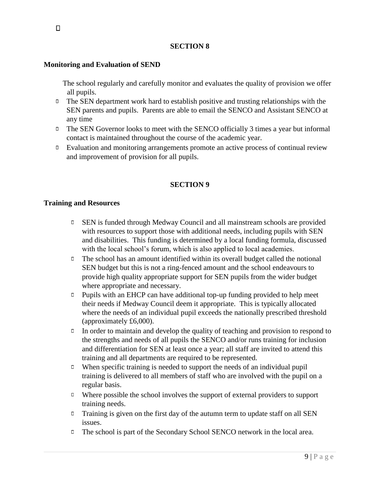#### **Monitoring and Evaluation of SEND**

The school regularly and carefully monitor and evaluates the quality of provision we offer all pupils.

- $\Box$  The SEN department work hard to establish positive and trusting relationships with the SEN parents and pupils. Parents are able to email the SENCO and Assistant SENCO at any time
- $\Box$  The SEN Governor looks to meet with the SENCO officially 3 times a year but informal contact is maintained throughout the course of the academic year.
- $\Box$  Evaluation and monitoring arrangements promote an active process of continual review and improvement of provision for all pupils.

#### **SECTION 9**

#### **Training and Resources**

- $\Box$ SEN is funded through Medway Council and all mainstream schools are provided with resources to support those with additional needs, including pupils with SEN and disabilities. This funding is determined by a local funding formula, discussed with the local school's forum, which is also applied to local academies.
- $\Box$  The school has an amount identified within its overall budget called the notional SEN budget but this is not a ring-fenced amount and the school endeavours to provide high quality appropriate support for SEN pupils from the wider budget where appropriate and necessary.
- Pupils with an EHCP can have additional top-up funding provided to help meet  $\Box$ their needs if Medway Council deem it appropriate. This is typically allocated where the needs of an individual pupil exceeds the nationally prescribed threshold (approximately £6,000).
- $\Box$  In order to maintain and develop the quality of teaching and provision to respond to the strengths and needs of all pupils the SENCO and/or runs training for inclusion and differentiation for SEN at least once a year; all staff are invited to attend this training and all departments are required to be represented.
- When specific training is needed to support the needs of an individual pupil  $\Box$ training is delivered to all members of staff who are involved with the pupil on a regular basis.
- $\Box$  Where possible the school involves the support of external providers to support training needs.
- Training is given on the first day of the autumn term to update staff on all SEN  $\Box$ issues.
- The school is part of the Secondary School SENCO network in the local area.  $\Box$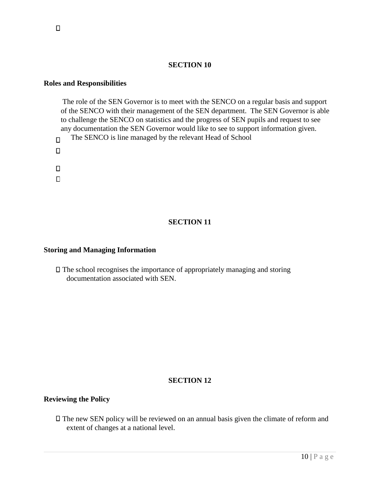#### **Roles and Responsibilities**

The role of the SEN Governor is to meet with the SENCO on a regular basis and support of the SENCO with their management of the SEN department. The SEN Governor is able to challenge the SENCO on statistics and the progress of SEN pupils and request to see any documentation the SEN Governor would like to see to support information given. The SENCO is line managed by the relevant Head of School  $\Box$ 

- $\Box$
- 
- $\Box$
- $\Box$

## **SECTION 11**

#### **Storing and Managing Information**

 $\Box$  The school recognises the importance of appropriately managing and storing documentation associated with SEN.

#### **SECTION 12**

#### **Reviewing the Policy**

The new SEN policy will be reviewed on an annual basis given the climate of reform and extent of changes at a national level.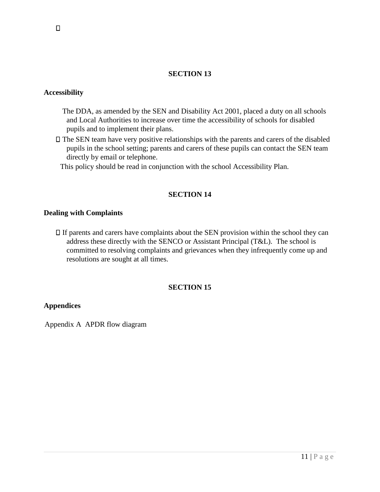#### **Accessibility**

- The DDA, as amended by the SEN and Disability Act 2001, placed a duty on all schools and Local Authorities to increase over time the accessibility of schools for disabled pupils and to implement their plans.
- $\Box$  The SEN team have very positive relationships with the parents and carers of the disabled pupils in the school setting; parents and carers of these pupils can contact the SEN team directly by email or telephone.

This policy should be read in conjunction with the school Accessibility Plan.

#### **SECTION 14**

#### **Dealing with Complaints**

 $\Box$  If parents and carers have complaints about the SEN provision within the school they can address these directly with the SENCO or Assistant Principal (T&L). The school is committed to resolving complaints and grievances when they infrequently come up and resolutions are sought at all times.

#### **SECTION 15**

#### **Appendices**

Appendix A APDR flow diagram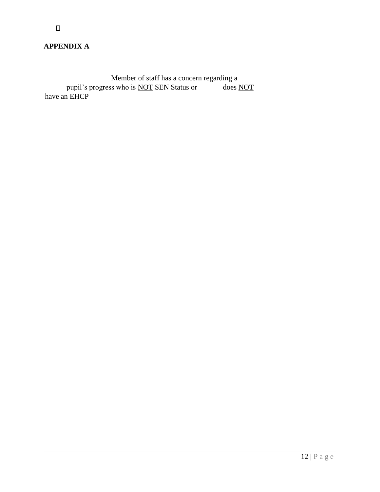$\Box$ 

Member of staff has a concern regarding a<br>ss who is <u>NOT</u> SEN Status or does NOT pupil's progress who is <u>NOT</u> SEN Status or does NOT have an EHCP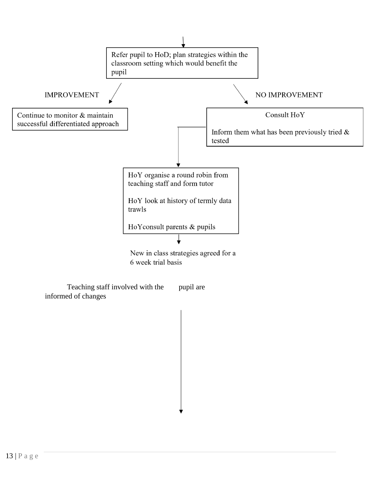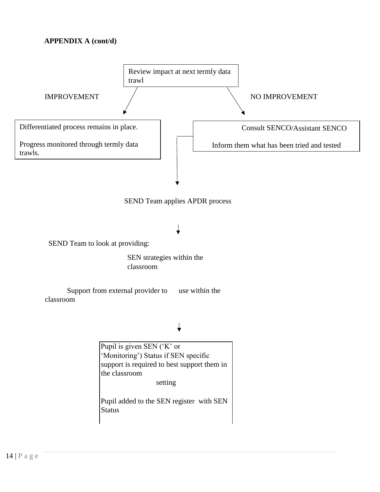# **APPENDIX A (cont/d)**



Pupil added to the SEN register with SEN **Status**